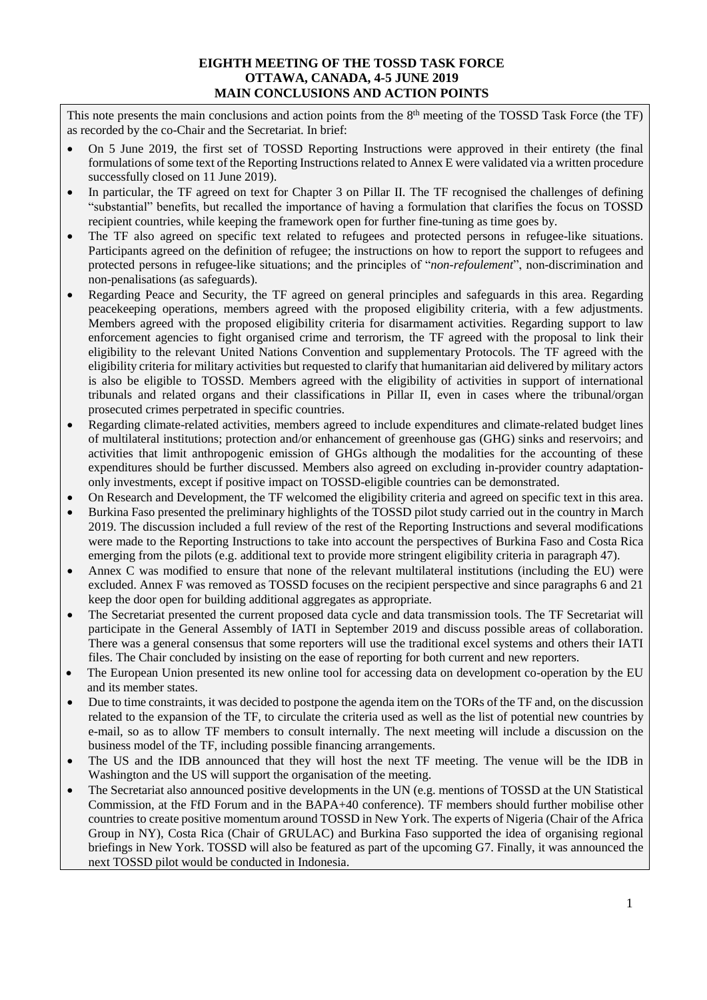## **EIGHTH MEETING OF THE TOSSD TASK FORCE OTTAWA, CANADA, 4-5 JUNE 2019 MAIN CONCLUSIONS AND ACTION POINTS**

This note presents the main conclusions and action points from the 8<sup>th</sup> meeting of the TOSSD Task Force (the TF) as recorded by the co-Chair and the Secretariat. In brief:

- On 5 June 2019, the first set of TOSSD Reporting Instructions were approved in their entirety (the final formulations of some text of the Reporting Instructions related to Annex E were validated via a written procedure successfully closed on 11 June 2019).
- In particular, the TF agreed on text for Chapter 3 on Pillar II. The TF recognised the challenges of defining "substantial" benefits, but recalled the importance of having a formulation that clarifies the focus on TOSSD recipient countries, while keeping the framework open for further fine-tuning as time goes by.
- The TF also agreed on specific text related to refugees and protected persons in refugee-like situations. Participants agreed on the definition of refugee; the instructions on how to report the support to refugees and protected persons in refugee-like situations; and the principles of "*non-refoulement*", non-discrimination and non-penalisations (as safeguards).
- Regarding Peace and Security, the TF agreed on general principles and safeguards in this area. Regarding peacekeeping operations, members agreed with the proposed eligibility criteria, with a few adjustments. Members agreed with the proposed eligibility criteria for disarmament activities. Regarding support to law enforcement agencies to fight organised crime and terrorism, the TF agreed with the proposal to link their eligibility to the relevant United Nations Convention and supplementary Protocols. The TF agreed with the eligibility criteria for military activities but requested to clarify that humanitarian aid delivered by military actors is also be eligible to TOSSD. Members agreed with the eligibility of activities in support of international tribunals and related organs and their classifications in Pillar II, even in cases where the tribunal/organ prosecuted crimes perpetrated in specific countries.
- Regarding climate-related activities, members agreed to include expenditures and climate-related budget lines of multilateral institutions; protection and/or enhancement of greenhouse gas (GHG) sinks and reservoirs; and activities that limit anthropogenic emission of GHGs although the modalities for the accounting of these expenditures should be further discussed. Members also agreed on excluding in-provider country adaptationonly investments, except if positive impact on TOSSD-eligible countries can be demonstrated.
- On Research and Development, the TF welcomed the eligibility criteria and agreed on specific text in this area.
- Burkina Faso presented the preliminary highlights of the TOSSD pilot study carried out in the country in March 2019. The discussion included a full review of the rest of the Reporting Instructions and several modifications were made to the Reporting Instructions to take into account the perspectives of Burkina Faso and Costa Rica emerging from the pilots (e.g. additional text to provide more stringent eligibility criteria in paragraph 47).
- Annex C was modified to ensure that none of the relevant multilateral institutions (including the EU) were excluded. Annex F was removed as TOSSD focuses on the recipient perspective and since paragraphs 6 and 21 keep the door open for building additional aggregates as appropriate.
- The Secretariat presented the current proposed data cycle and data transmission tools. The TF Secretariat will participate in the General Assembly of IATI in September 2019 and discuss possible areas of collaboration. There was a general consensus that some reporters will use the traditional excel systems and others their IATI files. The Chair concluded by insisting on the ease of reporting for both current and new reporters.
- The European Union presented its new online tool for accessing data on development co-operation by the EU and its member states.
- Due to time constraints, it was decided to postpone the agenda item on the TORs of the TF and, on the discussion related to the expansion of the TF, to circulate the criteria used as well as the list of potential new countries by e-mail, so as to allow TF members to consult internally. The next meeting will include a discussion on the business model of the TF, including possible financing arrangements.
- The US and the IDB announced that they will host the next TF meeting. The venue will be the IDB in Washington and the US will support the organisation of the meeting.
- The Secretariat also announced positive developments in the UN (e.g. mentions of TOSSD at the UN Statistical Commission, at the FfD Forum and in the BAPA+40 conference). TF members should further mobilise other countries to create positive momentum around TOSSD in New York. The experts of Nigeria (Chair of the Africa Group in NY), Costa Rica (Chair of GRULAC) and Burkina Faso supported the idea of organising regional briefings in New York. TOSSD will also be featured as part of the upcoming G7. Finally, it was announced the next TOSSD pilot would be conducted in Indonesia.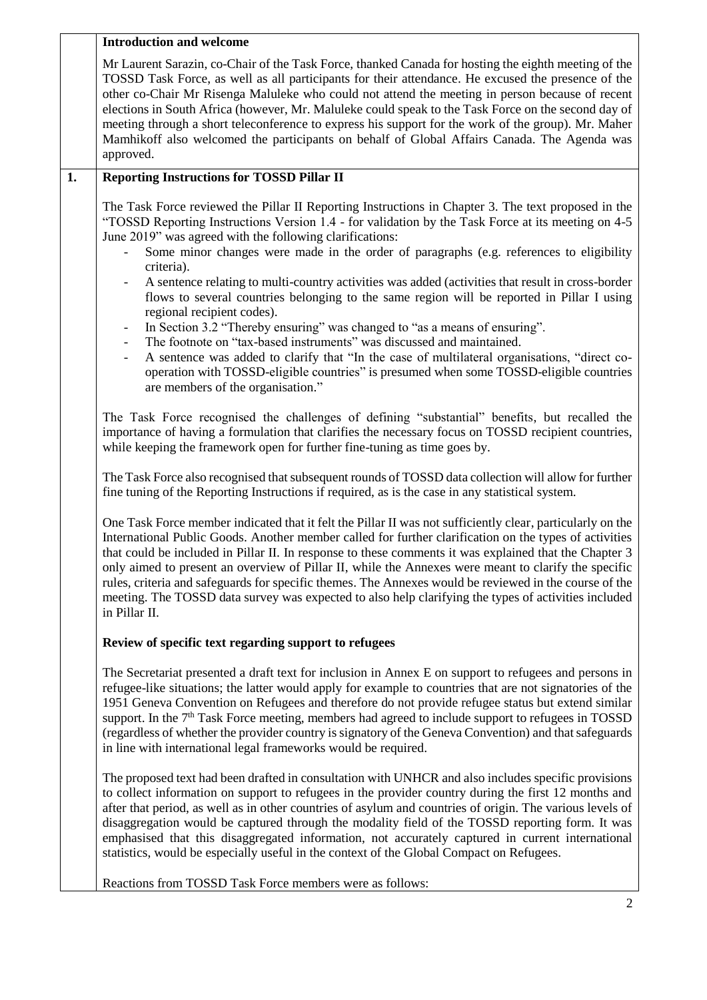|    | <b>Introduction and welcome</b>                                                                                                                                                                                                                                                                                                                                                                                                                                                                                                                                                                                                                                                                                           |
|----|---------------------------------------------------------------------------------------------------------------------------------------------------------------------------------------------------------------------------------------------------------------------------------------------------------------------------------------------------------------------------------------------------------------------------------------------------------------------------------------------------------------------------------------------------------------------------------------------------------------------------------------------------------------------------------------------------------------------------|
|    | Mr Laurent Sarazin, co-Chair of the Task Force, thanked Canada for hosting the eighth meeting of the<br>TOSSD Task Force, as well as all participants for their attendance. He excused the presence of the<br>other co-Chair Mr Risenga Maluleke who could not attend the meeting in person because of recent<br>elections in South Africa (however, Mr. Maluleke could speak to the Task Force on the second day of<br>meeting through a short teleconference to express his support for the work of the group). Mr. Maher<br>Mamhikoff also welcomed the participants on behalf of Global Affairs Canada. The Agenda was<br>approved.                                                                                   |
| 1. | <b>Reporting Instructions for TOSSD Pillar II</b>                                                                                                                                                                                                                                                                                                                                                                                                                                                                                                                                                                                                                                                                         |
|    | The Task Force reviewed the Pillar II Reporting Instructions in Chapter 3. The text proposed in the<br>"TOSSD Reporting Instructions Version 1.4 - for validation by the Task Force at its meeting on 4-5<br>June 2019" was agreed with the following clarifications:<br>Some minor changes were made in the order of paragraphs (e.g. references to eligibility<br>criteria).<br>A sentence relating to multi-country activities was added (activities that result in cross-border<br>flows to several countries belonging to the same region will be reported in Pillar I using<br>regional recipient codes).<br>In Section 3.2 "Thereby ensuring" was changed to "as a means of ensuring".<br>$\overline{\phantom{a}}$ |
|    | The footnote on "tax-based instruments" was discussed and maintained.<br>$\overline{\phantom{a}}$<br>A sentence was added to clarify that "In the case of multilateral organisations, "direct co-<br>operation with TOSSD-eligible countries" is presumed when some TOSSD-eligible countries<br>are members of the organisation."                                                                                                                                                                                                                                                                                                                                                                                         |
|    | The Task Force recognised the challenges of defining "substantial" benefits, but recalled the<br>importance of having a formulation that clarifies the necessary focus on TOSSD recipient countries,<br>while keeping the framework open for further fine-tuning as time goes by.                                                                                                                                                                                                                                                                                                                                                                                                                                         |
|    | The Task Force also recognised that subsequent rounds of TOSSD data collection will allow for further<br>fine tuning of the Reporting Instructions if required, as is the case in any statistical system.                                                                                                                                                                                                                                                                                                                                                                                                                                                                                                                 |
|    | One Task Force member indicated that it felt the Pillar II was not sufficiently clear, particularly on the<br>International Public Goods. Another member called for further clarification on the types of activities<br>that could be included in Pillar II. In response to these comments it was explained that the Chapter 3<br>only aimed to present an overview of Pillar II, while the Annexes were meant to clarify the specific<br>rules, criteria and safeguards for specific themes. The Annexes would be reviewed in the course of the<br>meeting. The TOSSD data survey was expected to also help clarifying the types of activities included<br>in Pillar II.                                                 |
|    | Review of specific text regarding support to refugees                                                                                                                                                                                                                                                                                                                                                                                                                                                                                                                                                                                                                                                                     |
|    | The Secretariat presented a draft text for inclusion in Annex E on support to refugees and persons in<br>refugee-like situations; the latter would apply for example to countries that are not signatories of the<br>1951 Geneva Convention on Refugees and therefore do not provide refugee status but extend similar<br>support. In the 7 <sup>th</sup> Task Force meeting, members had agreed to include support to refugees in TOSSD<br>(regardless of whether the provider country is signatory of the Geneva Convention) and that safeguards<br>in line with international legal frameworks would be required.                                                                                                      |
|    | The proposed text had been drafted in consultation with UNHCR and also includes specific provisions<br>to collect information on support to refugees in the provider country during the first 12 months and<br>after that period, as well as in other countries of asylum and countries of origin. The various levels of<br>disaggregation would be captured through the modality field of the TOSSD reporting form. It was<br>emphasised that this disaggregated information, not accurately captured in current international<br>statistics, would be especially useful in the context of the Global Compact on Refugees.                                                                                               |
|    | Reactions from TOSSD Task Force members were as follows:                                                                                                                                                                                                                                                                                                                                                                                                                                                                                                                                                                                                                                                                  |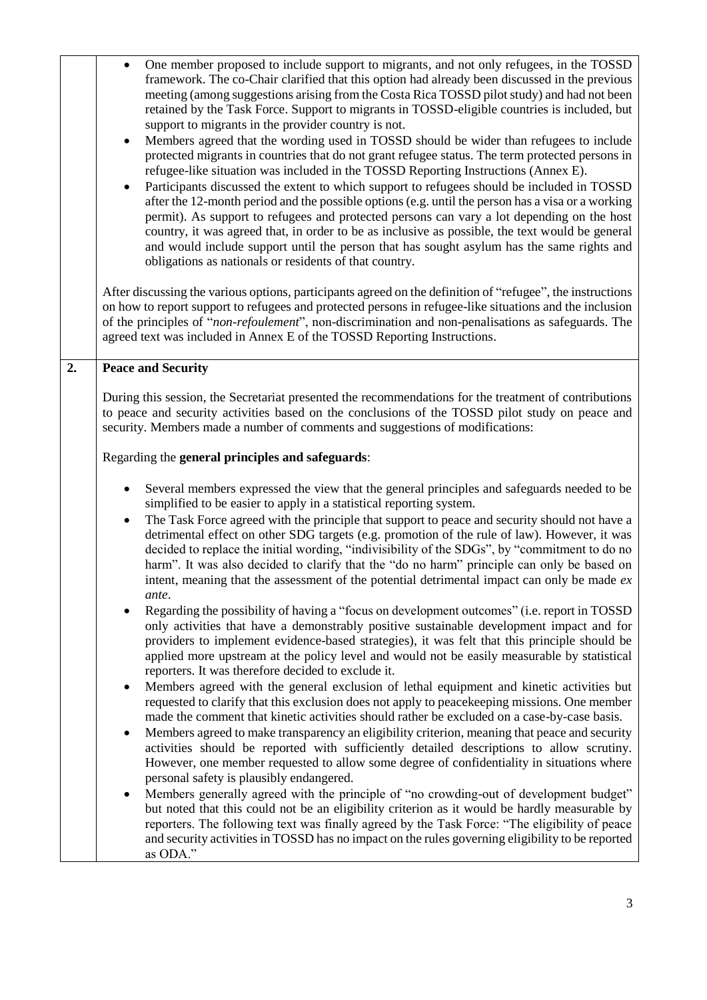|    | One member proposed to include support to migrants, and not only refugees, in the TOSSD<br>$\bullet$<br>framework. The co-Chair clarified that this option had already been discussed in the previous<br>meeting (among suggestions arising from the Costa Rica TOSSD pilot study) and had not been<br>retained by the Task Force. Support to migrants in TOSSD-eligible countries is included, but<br>support to migrants in the provider country is not.<br>Members agreed that the wording used in TOSSD should be wider than refugees to include<br>protected migrants in countries that do not grant refugee status. The term protected persons in<br>refugee-like situation was included in the TOSSD Reporting Instructions (Annex E).<br>Participants discussed the extent to which support to refugees should be included in TOSSD<br>after the 12-month period and the possible options (e.g. until the person has a visa or a working<br>permit). As support to refugees and protected persons can vary a lot depending on the host<br>country, it was agreed that, in order to be as inclusive as possible, the text would be general<br>and would include support until the person that has sought asylum has the same rights and<br>obligations as nationals or residents of that country.<br>After discussing the various options, participants agreed on the definition of "refugee", the instructions                                                                                                                                                                                                                                                                                                                                                                                                                                                                                                                                                                                                                                                                                                                                                                                   |
|----|----------------------------------------------------------------------------------------------------------------------------------------------------------------------------------------------------------------------------------------------------------------------------------------------------------------------------------------------------------------------------------------------------------------------------------------------------------------------------------------------------------------------------------------------------------------------------------------------------------------------------------------------------------------------------------------------------------------------------------------------------------------------------------------------------------------------------------------------------------------------------------------------------------------------------------------------------------------------------------------------------------------------------------------------------------------------------------------------------------------------------------------------------------------------------------------------------------------------------------------------------------------------------------------------------------------------------------------------------------------------------------------------------------------------------------------------------------------------------------------------------------------------------------------------------------------------------------------------------------------------------------------------------------------------------------------------------------------------------------------------------------------------------------------------------------------------------------------------------------------------------------------------------------------------------------------------------------------------------------------------------------------------------------------------------------------------------------------------------------------------------------------------------------------------------------------------------------|
|    | on how to report support to refugees and protected persons in refugee-like situations and the inclusion<br>of the principles of "non-refoulement", non-discrimination and non-penalisations as safeguards. The<br>agreed text was included in Annex E of the TOSSD Reporting Instructions.                                                                                                                                                                                                                                                                                                                                                                                                                                                                                                                                                                                                                                                                                                                                                                                                                                                                                                                                                                                                                                                                                                                                                                                                                                                                                                                                                                                                                                                                                                                                                                                                                                                                                                                                                                                                                                                                                                               |
| 2. | <b>Peace and Security</b>                                                                                                                                                                                                                                                                                                                                                                                                                                                                                                                                                                                                                                                                                                                                                                                                                                                                                                                                                                                                                                                                                                                                                                                                                                                                                                                                                                                                                                                                                                                                                                                                                                                                                                                                                                                                                                                                                                                                                                                                                                                                                                                                                                                |
|    | During this session, the Secretariat presented the recommendations for the treatment of contributions<br>to peace and security activities based on the conclusions of the TOSSD pilot study on peace and<br>security. Members made a number of comments and suggestions of modifications:<br>Regarding the general principles and safeguards:                                                                                                                                                                                                                                                                                                                                                                                                                                                                                                                                                                                                                                                                                                                                                                                                                                                                                                                                                                                                                                                                                                                                                                                                                                                                                                                                                                                                                                                                                                                                                                                                                                                                                                                                                                                                                                                            |
|    | Several members expressed the view that the general principles and safeguards needed to be<br>simplified to be easier to apply in a statistical reporting system.<br>The Task Force agreed with the principle that support to peace and security should not have a<br>$\bullet$<br>detrimental effect on other SDG targets (e.g. promotion of the rule of law). However, it was<br>decided to replace the initial wording, "indivisibility of the SDGs", by "commitment to do no<br>harm". It was also decided to clarify that the "do no harm" principle can only be based on<br>intent, meaning that the assessment of the potential detrimental impact can only be made $ex$<br>ante.<br>Regarding the possibility of having a "focus on development outcomes" (i.e. report in TOSSD<br>only activities that have a demonstrably positive sustainable development impact and for<br>providers to implement evidence-based strategies), it was felt that this principle should be<br>applied more upstream at the policy level and would not be easily measurable by statistical<br>reporters. It was therefore decided to exclude it.<br>Members agreed with the general exclusion of lethal equipment and kinetic activities but<br>$\bullet$<br>requested to clarify that this exclusion does not apply to peace keeping missions. One member<br>made the comment that kinetic activities should rather be excluded on a case-by-case basis.<br>Members agreed to make transparency an eligibility criterion, meaning that peace and security<br>٠<br>activities should be reported with sufficiently detailed descriptions to allow scrutiny.<br>However, one member requested to allow some degree of confidentiality in situations where<br>personal safety is plausibly endangered.<br>Members generally agreed with the principle of "no crowding-out of development budget"<br>but noted that this could not be an eligibility criterion as it would be hardly measurable by<br>reporters. The following text was finally agreed by the Task Force: "The eligibility of peace<br>and security activities in TOSSD has no impact on the rules governing eligibility to be reported<br>as ODA." |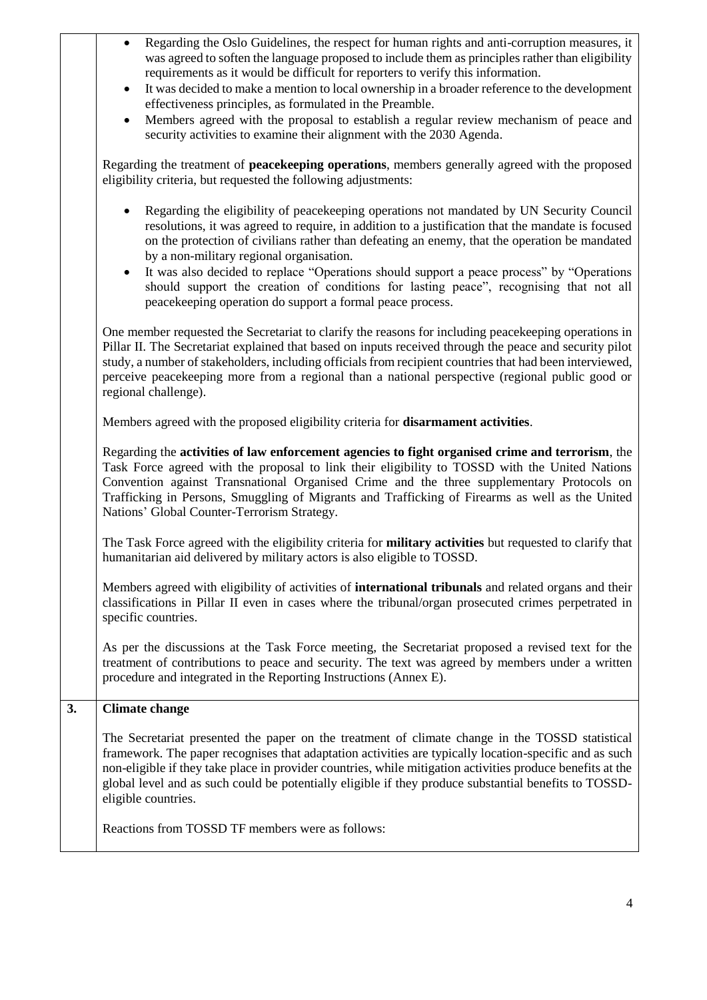|    | Regarding the Oslo Guidelines, the respect for human rights and anti-corruption measures, it<br>$\bullet$<br>was agreed to soften the language proposed to include them as principles rather than eligibility<br>requirements as it would be difficult for reporters to verify this information.<br>It was decided to make a mention to local ownership in a broader reference to the development<br>$\bullet$<br>effectiveness principles, as formulated in the Preamble.<br>Members agreed with the proposal to establish a regular review mechanism of peace and<br>$\bullet$<br>security activities to examine their alignment with the 2030 Agenda. |
|----|----------------------------------------------------------------------------------------------------------------------------------------------------------------------------------------------------------------------------------------------------------------------------------------------------------------------------------------------------------------------------------------------------------------------------------------------------------------------------------------------------------------------------------------------------------------------------------------------------------------------------------------------------------|
|    | Regarding the treatment of peacekeeping operations, members generally agreed with the proposed<br>eligibility criteria, but requested the following adjustments:                                                                                                                                                                                                                                                                                                                                                                                                                                                                                         |
|    | Regarding the eligibility of peacekeeping operations not mandated by UN Security Council<br>resolutions, it was agreed to require, in addition to a justification that the mandate is focused<br>on the protection of civilians rather than defeating an enemy, that the operation be mandated<br>by a non-military regional organisation.<br>It was also decided to replace "Operations should support a peace process" by "Operations<br>$\bullet$<br>should support the creation of conditions for lasting peace", recognising that not all<br>peacekeeping operation do support a formal peace process.                                              |
|    | One member requested the Secretariat to clarify the reasons for including peacekeeping operations in<br>Pillar II. The Secretariat explained that based on inputs received through the peace and security pilot<br>study, a number of stakeholders, including officials from recipient countries that had been interviewed,<br>perceive peacekeeping more from a regional than a national perspective (regional public good or<br>regional challenge).                                                                                                                                                                                                   |
|    | Members agreed with the proposed eligibility criteria for disarmament activities.                                                                                                                                                                                                                                                                                                                                                                                                                                                                                                                                                                        |
|    | Regarding the activities of law enforcement agencies to fight organised crime and terrorism, the<br>Task Force agreed with the proposal to link their eligibility to TOSSD with the United Nations<br>Convention against Transnational Organised Crime and the three supplementary Protocols on<br>Trafficking in Persons, Smuggling of Migrants and Trafficking of Firearms as well as the United<br>Nations' Global Counter-Terrorism Strategy.                                                                                                                                                                                                        |
|    | The Task Force agreed with the eligibility criteria for <b>military activities</b> but requested to clarify that<br>humanitarian aid delivered by military actors is also eligible to TOSSD.                                                                                                                                                                                                                                                                                                                                                                                                                                                             |
|    | Members agreed with eligibility of activities of <b>international tribunals</b> and related organs and their<br>classifications in Pillar II even in cases where the tribunal/organ prosecuted crimes perpetrated in<br>specific countries.                                                                                                                                                                                                                                                                                                                                                                                                              |
|    | As per the discussions at the Task Force meeting, the Secretariat proposed a revised text for the<br>treatment of contributions to peace and security. The text was agreed by members under a written<br>procedure and integrated in the Reporting Instructions (Annex E).                                                                                                                                                                                                                                                                                                                                                                               |
| 3. | <b>Climate change</b>                                                                                                                                                                                                                                                                                                                                                                                                                                                                                                                                                                                                                                    |
|    | The Secretariat presented the paper on the treatment of climate change in the TOSSD statistical<br>framework. The paper recognises that adaptation activities are typically location-specific and as such<br>non-eligible if they take place in provider countries, while mitigation activities produce benefits at the<br>global level and as such could be potentially eligible if they produce substantial benefits to TOSSD-<br>eligible countries.                                                                                                                                                                                                  |
|    | Reactions from TOSSD TF members were as follows:                                                                                                                                                                                                                                                                                                                                                                                                                                                                                                                                                                                                         |
|    |                                                                                                                                                                                                                                                                                                                                                                                                                                                                                                                                                                                                                                                          |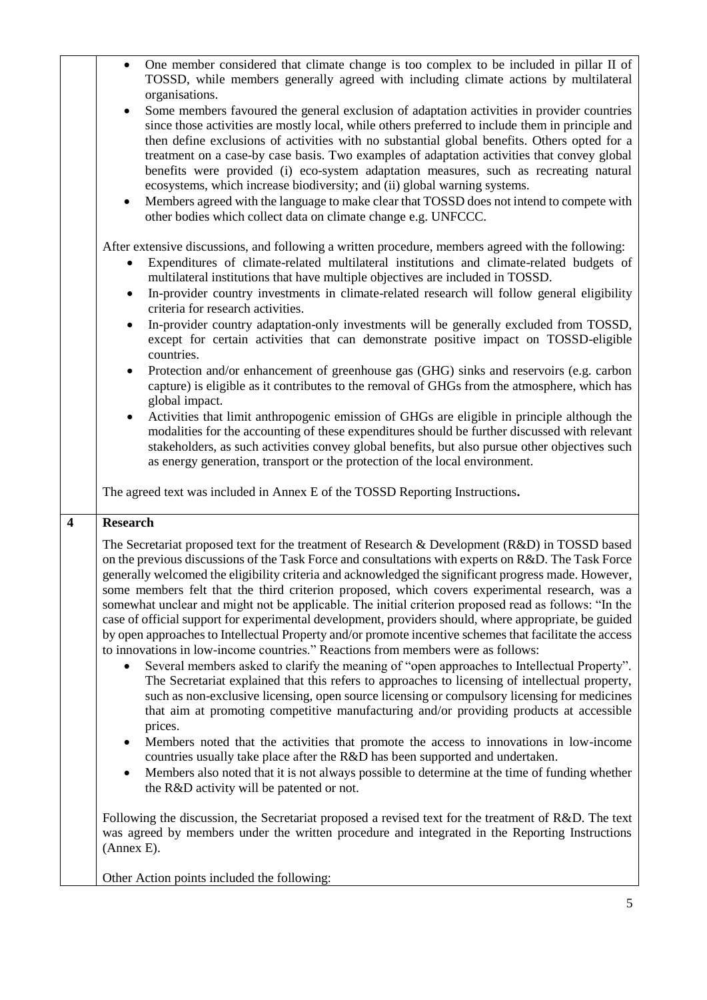|                         | One member considered that climate change is too complex to be included in pillar II of<br>$\bullet$<br>TOSSD, while members generally agreed with including climate actions by multilateral<br>organisations.                                                                                                                                                                                                                                                                                                                                                                                                                                                                                                                                                                                                                                                                                                                                                                                                                                                                                                                                                                                                                                                                                                                          |
|-------------------------|-----------------------------------------------------------------------------------------------------------------------------------------------------------------------------------------------------------------------------------------------------------------------------------------------------------------------------------------------------------------------------------------------------------------------------------------------------------------------------------------------------------------------------------------------------------------------------------------------------------------------------------------------------------------------------------------------------------------------------------------------------------------------------------------------------------------------------------------------------------------------------------------------------------------------------------------------------------------------------------------------------------------------------------------------------------------------------------------------------------------------------------------------------------------------------------------------------------------------------------------------------------------------------------------------------------------------------------------|
|                         | Some members favoured the general exclusion of adaptation activities in provider countries<br>$\bullet$<br>since those activities are mostly local, while others preferred to include them in principle and<br>then define exclusions of activities with no substantial global benefits. Others opted for a<br>treatment on a case-by case basis. Two examples of adaptation activities that convey global<br>benefits were provided (i) eco-system adaptation measures, such as recreating natural<br>ecosystems, which increase biodiversity; and (ii) global warning systems.<br>Members agreed with the language to make clear that TOSSD does not intend to compete with<br>$\bullet$                                                                                                                                                                                                                                                                                                                                                                                                                                                                                                                                                                                                                                              |
|                         | other bodies which collect data on climate change e.g. UNFCCC.                                                                                                                                                                                                                                                                                                                                                                                                                                                                                                                                                                                                                                                                                                                                                                                                                                                                                                                                                                                                                                                                                                                                                                                                                                                                          |
|                         | After extensive discussions, and following a written procedure, members agreed with the following:<br>Expenditures of climate-related multilateral institutions and climate-related budgets of<br>٠<br>multilateral institutions that have multiple objectives are included in TOSSD.<br>In-provider country investments in climate-related research will follow general eligibility<br>$\bullet$<br>criteria for research activities.<br>In-provider country adaptation-only investments will be generally excluded from TOSSD,<br>$\bullet$                                                                                                                                                                                                                                                                                                                                                                                                                                                                                                                                                                                                                                                                                                                                                                                           |
|                         | except for certain activities that can demonstrate positive impact on TOSSD-eligible<br>countries.                                                                                                                                                                                                                                                                                                                                                                                                                                                                                                                                                                                                                                                                                                                                                                                                                                                                                                                                                                                                                                                                                                                                                                                                                                      |
|                         | Protection and/or enhancement of greenhouse gas (GHG) sinks and reservoirs (e.g. carbon<br>$\bullet$<br>capture) is eligible as it contributes to the removal of GHGs from the atmosphere, which has<br>global impact.                                                                                                                                                                                                                                                                                                                                                                                                                                                                                                                                                                                                                                                                                                                                                                                                                                                                                                                                                                                                                                                                                                                  |
|                         | Activities that limit anthropogenic emission of GHGs are eligible in principle although the<br>$\bullet$<br>modalities for the accounting of these expenditures should be further discussed with relevant<br>stakeholders, as such activities convey global benefits, but also pursue other objectives such<br>as energy generation, transport or the protection of the local environment.                                                                                                                                                                                                                                                                                                                                                                                                                                                                                                                                                                                                                                                                                                                                                                                                                                                                                                                                              |
|                         | The agreed text was included in Annex E of the TOSSD Reporting Instructions.                                                                                                                                                                                                                                                                                                                                                                                                                                                                                                                                                                                                                                                                                                                                                                                                                                                                                                                                                                                                                                                                                                                                                                                                                                                            |
| $\overline{\mathbf{4}}$ | <b>Research</b>                                                                                                                                                                                                                                                                                                                                                                                                                                                                                                                                                                                                                                                                                                                                                                                                                                                                                                                                                                                                                                                                                                                                                                                                                                                                                                                         |
|                         | The Secretariat proposed text for the treatment of Research & Development (R&D) in TOSSD based<br>on the previous discussions of the Task Force and consultations with experts on R&D. The Task Force<br>generally welcomed the eligibility criteria and acknowledged the significant progress made. However,<br>some members felt that the third criterion proposed, which covers experimental research, was a<br>somewhat unclear and might not be applicable. The initial criterion proposed read as follows: "In the<br>case of official support for experimental development, providers should, where appropriate, be guided<br>by open approaches to Intellectual Property and/or promote incentive schemes that facilitate the access<br>to innovations in low-income countries." Reactions from members were as follows:<br>Several members asked to clarify the meaning of "open approaches to Intellectual Property".<br>The Secretariat explained that this refers to approaches to licensing of intellectual property,<br>such as non-exclusive licensing, open source licensing or compulsory licensing for medicines<br>that aim at promoting competitive manufacturing and/or providing products at accessible<br>prices.<br>Members noted that the activities that promote the access to innovations in low-income<br>٠ |
|                         | countries usually take place after the R&D has been supported and undertaken.                                                                                                                                                                                                                                                                                                                                                                                                                                                                                                                                                                                                                                                                                                                                                                                                                                                                                                                                                                                                                                                                                                                                                                                                                                                           |
|                         | Members also noted that it is not always possible to determine at the time of funding whether<br>٠<br>the R&D activity will be patented or not.                                                                                                                                                                                                                                                                                                                                                                                                                                                                                                                                                                                                                                                                                                                                                                                                                                                                                                                                                                                                                                                                                                                                                                                         |
|                         | Following the discussion, the Secretariat proposed a revised text for the treatment of R&D. The text<br>was agreed by members under the written procedure and integrated in the Reporting Instructions<br>(Annex E).                                                                                                                                                                                                                                                                                                                                                                                                                                                                                                                                                                                                                                                                                                                                                                                                                                                                                                                                                                                                                                                                                                                    |
|                         |                                                                                                                                                                                                                                                                                                                                                                                                                                                                                                                                                                                                                                                                                                                                                                                                                                                                                                                                                                                                                                                                                                                                                                                                                                                                                                                                         |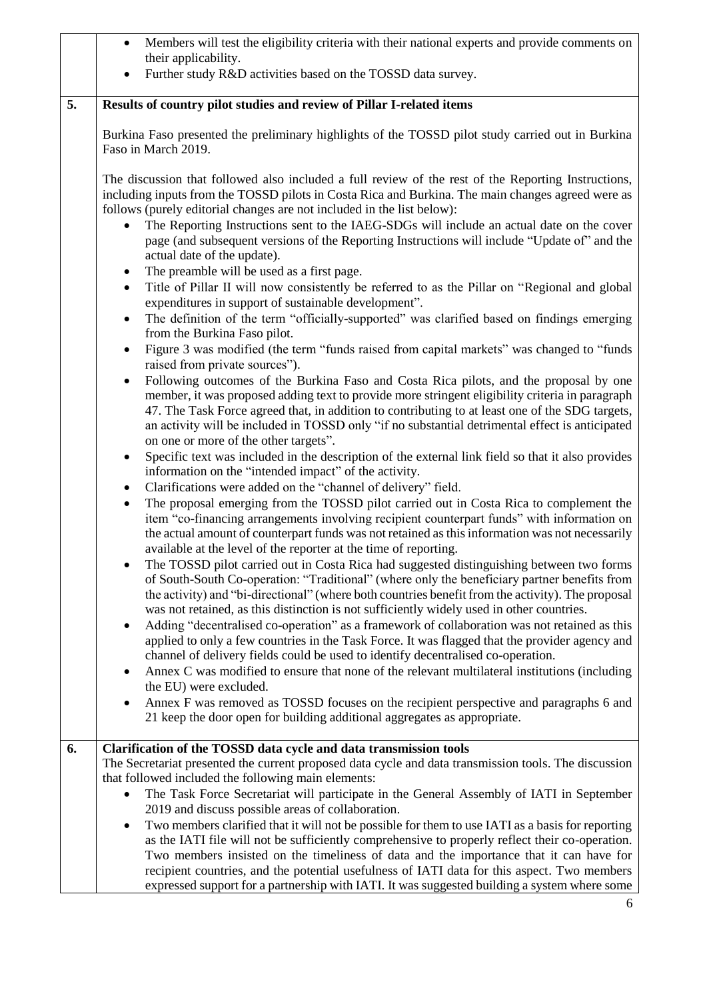|    | Members will test the eligibility criteria with their national experts and provide comments on<br>$\bullet$<br>their applicability.                                                                                                                                                                                                                                                                                                                                                                            |
|----|----------------------------------------------------------------------------------------------------------------------------------------------------------------------------------------------------------------------------------------------------------------------------------------------------------------------------------------------------------------------------------------------------------------------------------------------------------------------------------------------------------------|
|    | Further study R&D activities based on the TOSSD data survey.                                                                                                                                                                                                                                                                                                                                                                                                                                                   |
|    |                                                                                                                                                                                                                                                                                                                                                                                                                                                                                                                |
| 5. | Results of country pilot studies and review of Pillar I-related items                                                                                                                                                                                                                                                                                                                                                                                                                                          |
|    | Burkina Faso presented the preliminary highlights of the TOSSD pilot study carried out in Burkina<br>Faso in March 2019.                                                                                                                                                                                                                                                                                                                                                                                       |
|    | The discussion that followed also included a full review of the rest of the Reporting Instructions,<br>including inputs from the TOSSD pilots in Costa Rica and Burkina. The main changes agreed were as<br>follows (purely editorial changes are not included in the list below):<br>The Reporting Instructions sent to the IAEG-SDGs will include an actual date on the cover<br>page (and subsequent versions of the Reporting Instructions will include "Update of" and the<br>actual date of the update). |
|    | The preamble will be used as a first page.<br>Title of Pillar II will now consistently be referred to as the Pillar on "Regional and global<br>$\bullet$<br>expenditures in support of sustainable development".<br>The definition of the term "officially-supported" was clarified based on findings emerging                                                                                                                                                                                                 |
|    | $\bullet$<br>from the Burkina Faso pilot.                                                                                                                                                                                                                                                                                                                                                                                                                                                                      |
|    | Figure 3 was modified (the term "funds raised from capital markets" was changed to "funds"<br>$\bullet$<br>raised from private sources").                                                                                                                                                                                                                                                                                                                                                                      |
|    | Following outcomes of the Burkina Faso and Costa Rica pilots, and the proposal by one<br>member, it was proposed adding text to provide more stringent eligibility criteria in paragraph<br>47. The Task Force agreed that, in addition to contributing to at least one of the SDG targets,<br>an activity will be included in TOSSD only "if no substantial detrimental effect is anticipated<br>on one or more of the other targets".                                                                        |
|    | Specific text was included in the description of the external link field so that it also provides<br>$\bullet$<br>information on the "intended impact" of the activity.                                                                                                                                                                                                                                                                                                                                        |
|    | Clarifications were added on the "channel of delivery" field.<br>The proposal emerging from the TOSSD pilot carried out in Costa Rica to complement the<br>$\bullet$<br>item "co-financing arrangements involving recipient counterpart funds" with information on<br>the actual amount of counterpart funds was not retained as this information was not necessarily<br>available at the level of the reporter at the time of reporting.                                                                      |
|    | The TOSSD pilot carried out in Costa Rica had suggested distinguishing between two forms<br>of South-South Co-operation: "Traditional" (where only the beneficiary partner benefits from<br>the activity) and "bi-directional" (where both countries benefit from the activity). The proposal<br>was not retained, as this distinction is not sufficiently widely used in other countries.                                                                                                                     |
|    | Adding "decentralised co-operation" as a framework of collaboration was not retained as this<br>٠<br>applied to only a few countries in the Task Force. It was flagged that the provider agency and<br>channel of delivery fields could be used to identify decentralised co-operation.                                                                                                                                                                                                                        |
|    | Annex C was modified to ensure that none of the relevant multilateral institutions (including<br>$\bullet$<br>the EU) were excluded.                                                                                                                                                                                                                                                                                                                                                                           |
|    | Annex F was removed as TOSSD focuses on the recipient perspective and paragraphs 6 and<br>٠<br>21 keep the door open for building additional aggregates as appropriate.                                                                                                                                                                                                                                                                                                                                        |
| 6. | Clarification of the TOSSD data cycle and data transmission tools                                                                                                                                                                                                                                                                                                                                                                                                                                              |
|    | The Secretariat presented the current proposed data cycle and data transmission tools. The discussion                                                                                                                                                                                                                                                                                                                                                                                                          |
|    | that followed included the following main elements:                                                                                                                                                                                                                                                                                                                                                                                                                                                            |
|    | The Task Force Secretariat will participate in the General Assembly of IATI in September<br>2019 and discuss possible areas of collaboration.                                                                                                                                                                                                                                                                                                                                                                  |
|    | Two members clarified that it will not be possible for them to use IATI as a basis for reporting                                                                                                                                                                                                                                                                                                                                                                                                               |
|    | as the IATI file will not be sufficiently comprehensive to properly reflect their co-operation.                                                                                                                                                                                                                                                                                                                                                                                                                |
|    | Two members insisted on the timeliness of data and the importance that it can have for                                                                                                                                                                                                                                                                                                                                                                                                                         |
|    | recipient countries, and the potential usefulness of IATI data for this aspect. Two members<br>expressed support for a partnership with IATI. It was suggested building a system where some                                                                                                                                                                                                                                                                                                                    |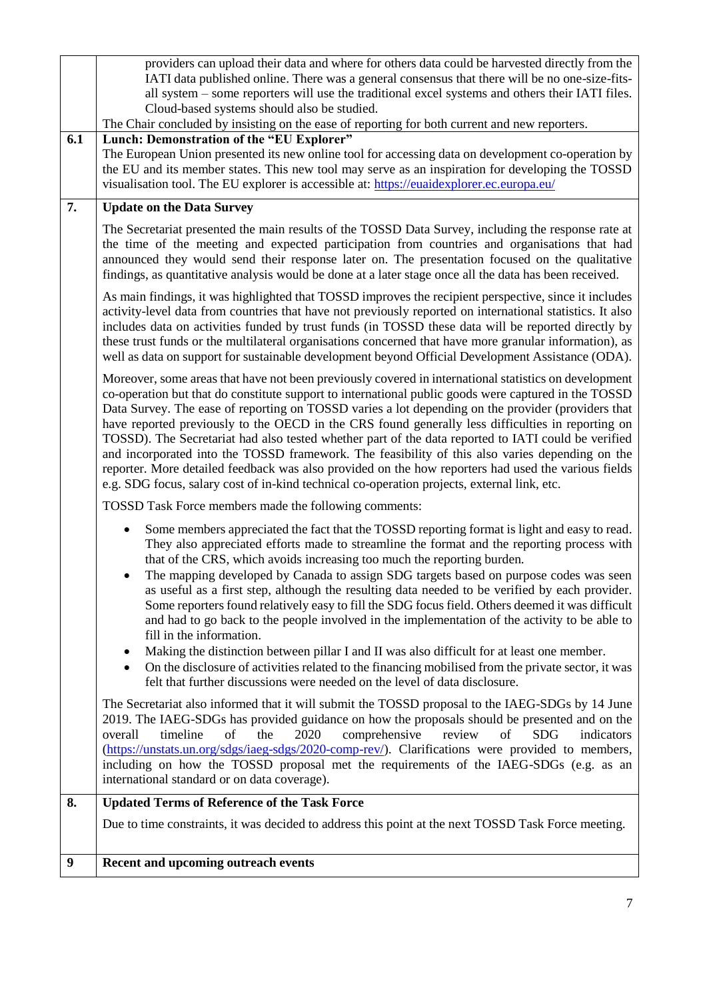|                  | providers can upload their data and where for others data could be harvested directly from the<br>IATI data published online. There was a general consensus that there will be no one-size-fits-                                                                                                                                                                                                                                                                                                                                                                                                                                                                                                                                                                                                                                                                                                                                                                                    |
|------------------|-------------------------------------------------------------------------------------------------------------------------------------------------------------------------------------------------------------------------------------------------------------------------------------------------------------------------------------------------------------------------------------------------------------------------------------------------------------------------------------------------------------------------------------------------------------------------------------------------------------------------------------------------------------------------------------------------------------------------------------------------------------------------------------------------------------------------------------------------------------------------------------------------------------------------------------------------------------------------------------|
|                  | all system – some reporters will use the traditional excel systems and others their IATI files.<br>Cloud-based systems should also be studied.                                                                                                                                                                                                                                                                                                                                                                                                                                                                                                                                                                                                                                                                                                                                                                                                                                      |
|                  | The Chair concluded by insisting on the ease of reporting for both current and new reporters.                                                                                                                                                                                                                                                                                                                                                                                                                                                                                                                                                                                                                                                                                                                                                                                                                                                                                       |
| 6.1              | Lunch: Demonstration of the "EU Explorer"<br>The European Union presented its new online tool for accessing data on development co-operation by<br>the EU and its member states. This new tool may serve as an inspiration for developing the TOSSD<br>visualisation tool. The EU explorer is accessible at: https://euaidexplorer.ec.europa.eu/                                                                                                                                                                                                                                                                                                                                                                                                                                                                                                                                                                                                                                    |
| 7.               | <b>Update on the Data Survey</b>                                                                                                                                                                                                                                                                                                                                                                                                                                                                                                                                                                                                                                                                                                                                                                                                                                                                                                                                                    |
|                  | The Secretariat presented the main results of the TOSSD Data Survey, including the response rate at<br>the time of the meeting and expected participation from countries and organisations that had<br>announced they would send their response later on. The presentation focused on the qualitative<br>findings, as quantitative analysis would be done at a later stage once all the data has been received.                                                                                                                                                                                                                                                                                                                                                                                                                                                                                                                                                                     |
|                  | As main findings, it was highlighted that TOSSD improves the recipient perspective, since it includes<br>activity-level data from countries that have not previously reported on international statistics. It also<br>includes data on activities funded by trust funds (in TOSSD these data will be reported directly by<br>these trust funds or the multilateral organisations concerned that have more granular information), as<br>well as data on support for sustainable development beyond Official Development Assistance (ODA).                                                                                                                                                                                                                                                                                                                                                                                                                                            |
|                  | Moreover, some areas that have not been previously covered in international statistics on development<br>co-operation but that do constitute support to international public goods were captured in the TOSSD<br>Data Survey. The ease of reporting on TOSSD varies a lot depending on the provider (providers that<br>have reported previously to the OECD in the CRS found generally less difficulties in reporting on<br>TOSSD). The Secretariat had also tested whether part of the data reported to IATI could be verified<br>and incorporated into the TOSSD framework. The feasibility of this also varies depending on the<br>reporter. More detailed feedback was also provided on the how reporters had used the various fields<br>e.g. SDG focus, salary cost of in-kind technical co-operation projects, external link, etc.                                                                                                                                            |
|                  | TOSSD Task Force members made the following comments:                                                                                                                                                                                                                                                                                                                                                                                                                                                                                                                                                                                                                                                                                                                                                                                                                                                                                                                               |
|                  | Some members appreciated the fact that the TOSSD reporting format is light and easy to read.<br>They also appreciated efforts made to streamline the format and the reporting process with<br>that of the CRS, which avoids increasing too much the reporting burden.<br>The mapping developed by Canada to assign SDG targets based on purpose codes was seen<br>as useful as a first step, although the resulting data needed to be verified by each provider.<br>Some reporters found relatively easy to fill the SDG focus field. Others deemed it was difficult<br>and had to go back to the people involved in the implementation of the activity to be able to<br>fill in the information.<br>Making the distinction between pillar I and II was also difficult for at least one member.<br>On the disclosure of activities related to the financing mobilised from the private sector, it was<br>felt that further discussions were needed on the level of data disclosure. |
|                  | The Secretariat also informed that it will submit the TOSSD proposal to the IAEG-SDGs by 14 June<br>2019. The IAEG-SDGs has provided guidance on how the proposals should be presented and on the<br>comprehensive<br>timeline<br>of<br>the<br>2020<br>review<br>of<br><b>SDG</b><br>indicators<br>overall<br>(https://unstats.un.org/sdgs/iaeg-sdgs/2020-comp-rev/). Clarifications were provided to members,<br>including on how the TOSSD proposal met the requirements of the IAEG-SDGs (e.g. as an<br>international standard or on data coverage).                                                                                                                                                                                                                                                                                                                                                                                                                             |
| 8.               | <b>Updated Terms of Reference of the Task Force</b>                                                                                                                                                                                                                                                                                                                                                                                                                                                                                                                                                                                                                                                                                                                                                                                                                                                                                                                                 |
|                  | Due to time constraints, it was decided to address this point at the next TOSSD Task Force meeting.                                                                                                                                                                                                                                                                                                                                                                                                                                                                                                                                                                                                                                                                                                                                                                                                                                                                                 |
| $\boldsymbol{9}$ | Recent and upcoming outreach events                                                                                                                                                                                                                                                                                                                                                                                                                                                                                                                                                                                                                                                                                                                                                                                                                                                                                                                                                 |
|                  |                                                                                                                                                                                                                                                                                                                                                                                                                                                                                                                                                                                                                                                                                                                                                                                                                                                                                                                                                                                     |